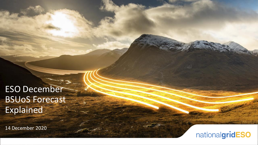ESO December BSUoS Forecast Explained

14 December 2020